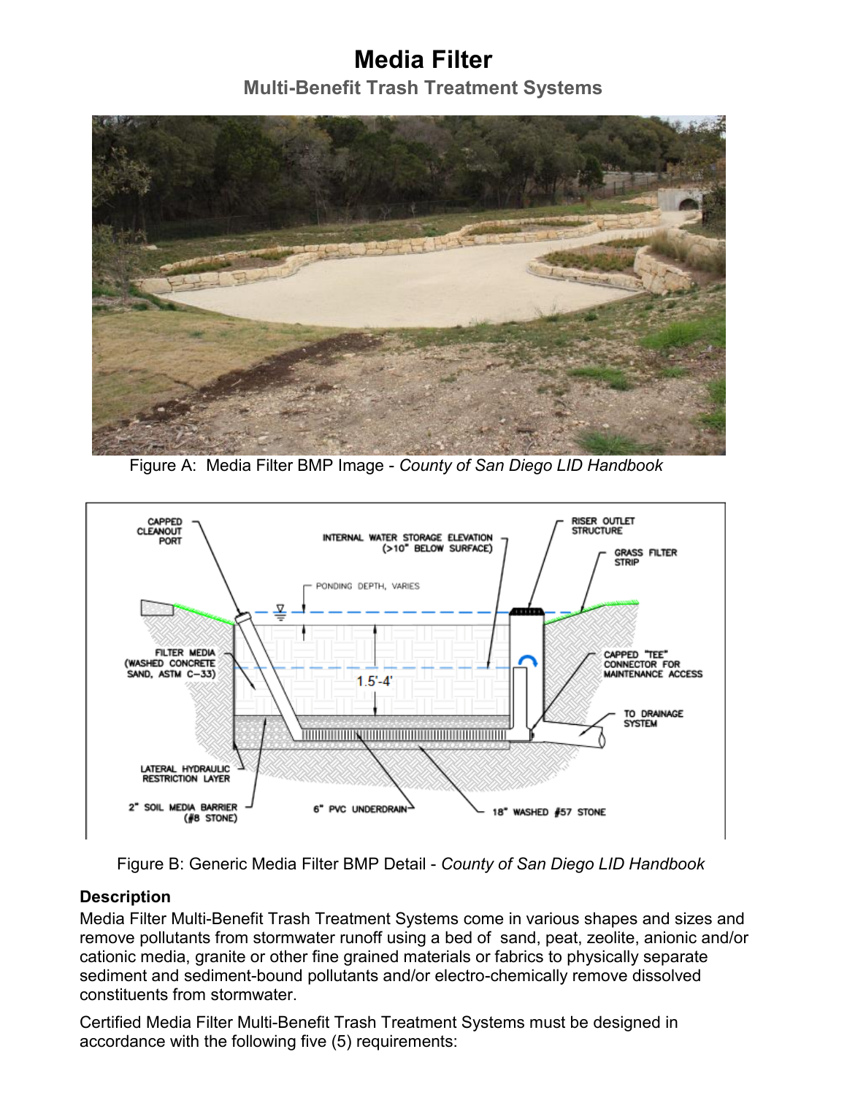## **Media Filter**

**Multi-Benefit Trash Treatment Systems**



Figure A: Media Filter BMP Image - *County of San Diego LID Handbook* 



Figure B: Generic Media Filter BMP Detail - *County of San Diego LID Handbook*

## **Description**

Media Filter Multi-Benefit Trash Treatment Systems come in various shapes and sizes and remove pollutants from stormwater runoff using a bed of sand, peat, zeolite, anionic and/or cationic media, granite or other fine grained materials or fabrics to physically separate sediment and sediment-bound pollutants and/or electro-chemically remove dissolved constituents from stormwater.

Certified Media Filter Multi-Benefit Trash Treatment Systems must be designed in accordance with the following five (5) requirements: